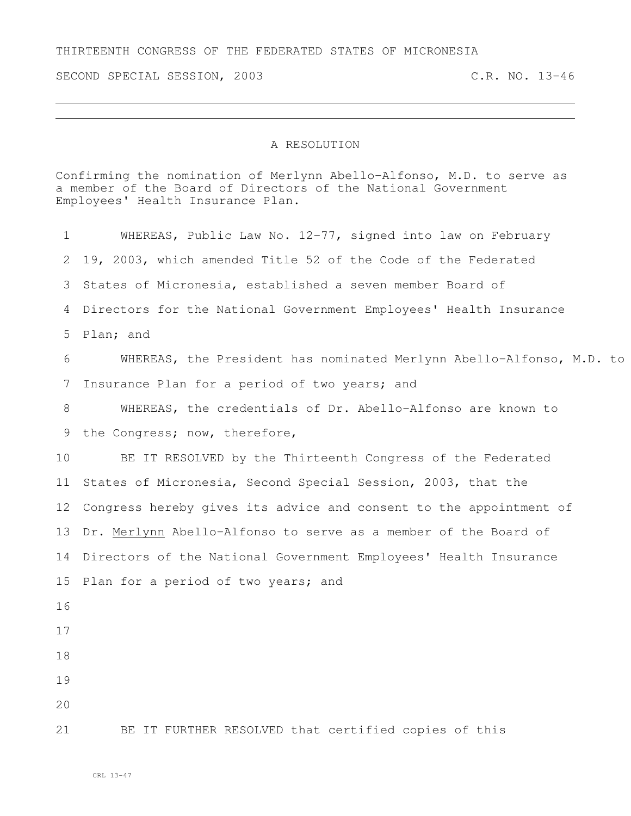THIRTEENTH CONGRESS OF THE FEDERATED STATES OF MICRONESIA

SECOND SPECIAL SESSION, 2003 C.R. NO. 13-46

## A RESOLUTION

Confirming the nomination of Merlynn Abello-Alfonso, M.D. to serve as a member of the Board of Directors of the National Government Employees' Health Insurance Plan. WHEREAS, Public Law No. 12-77, signed into law on February 19, 2003, which amended Title 52 of the Code of the Federated States of Micronesia, established a seven member Board of Directors for the National Government Employees' Health Insurance Plan; and 6 WHEREAS, the President has nominated Merlynn Abello-Alfonso, M.D. to Insurance Plan for a period of two years; and WHEREAS, the credentials of Dr. Abello-Alfonso are known to 9 the Congress; now, therefore, BE IT RESOLVED by the Thirteenth Congress of the Federated States of Micronesia, Second Special Session, 2003, that the Congress hereby gives its advice and consent to the appointment of Dr. Merlynn Abello-Alfonso to serve as a member of the Board of Directors of the National Government Employees' Health Insurance 15 Plan for a period of two years; and 

BE IT FURTHER RESOLVED that certified copies of this